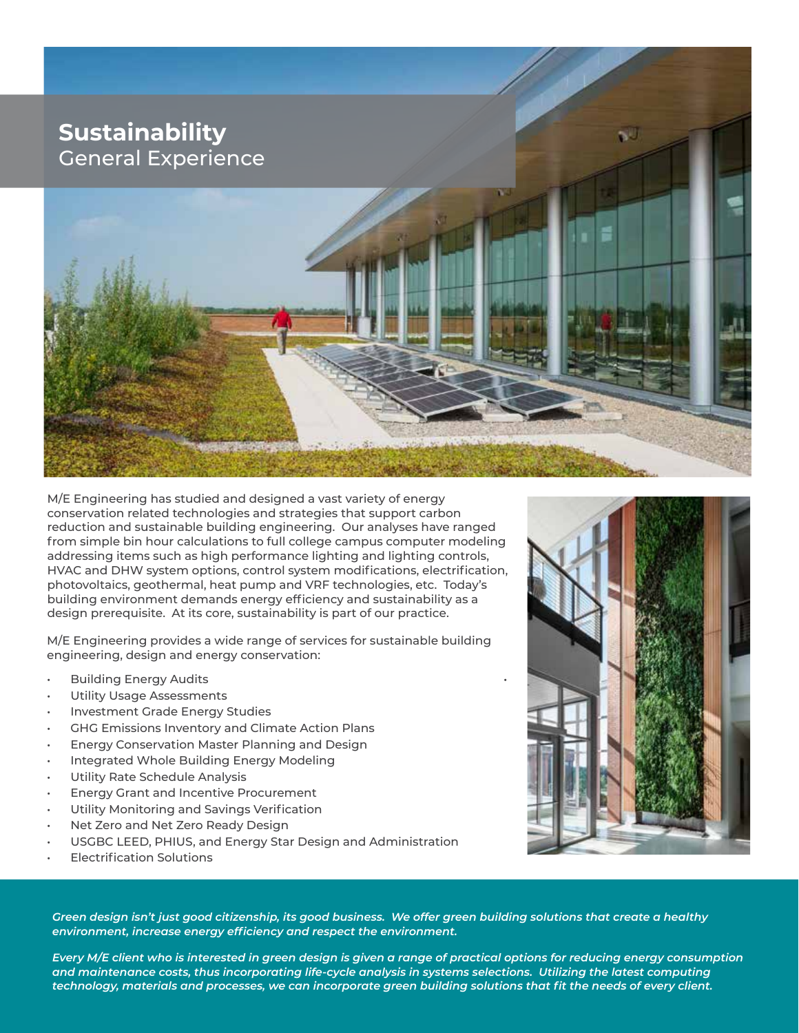## **Sustainability** General Experience



M/E Engineering has studied and designed a vast variety of energy conservation related technologies and strategies that support carbon reduction and sustainable building engineering. Our analyses have ranged from simple bin hour calculations to full college campus computer modeling addressing items such as high performance lighting and lighting controls, HVAC and DHW system options, control system modifications, electrification, photovoltaics, geothermal, heat pump and VRF technologies, etc. Today's building environment demands energy efficiency and sustainability as a design prerequisite. At its core, sustainability is part of our practice.

M/E Engineering provides a wide range of services for sustainable building engineering, design and energy conservation:

- Building Energy Audits
- Utility Usage Assessments
- Investment Grade Energy Studies
- GHG Emissions Inventory and Climate Action Plans
- Energy Conservation Master Planning and Design
- Integrated Whole Building Energy Modeling
- Utility Rate Schedule Analysis
- Energy Grant and Incentive Procurement
- Utility Monitoring and Savings Verification
- Net Zero and Net Zero Ready Design
- USGBC LEED, PHIUS, and Energy Star Design and Administration
- Electrification Solutions

• Renewable Design

*Green design isn't just good citizenship, its good business. We offer green building solutions that create a healthy environment, increase energy efficiency and respect the environment.* 

*Every M/E client who is interested in green design is given a range of practical options for reducing energy consumption and maintenance costs, thus incorporating life-cycle analysis in systems selections. Utilizing the latest computing technology, materials and processes, we can incorporate green building solutions that fit the needs of every client.*